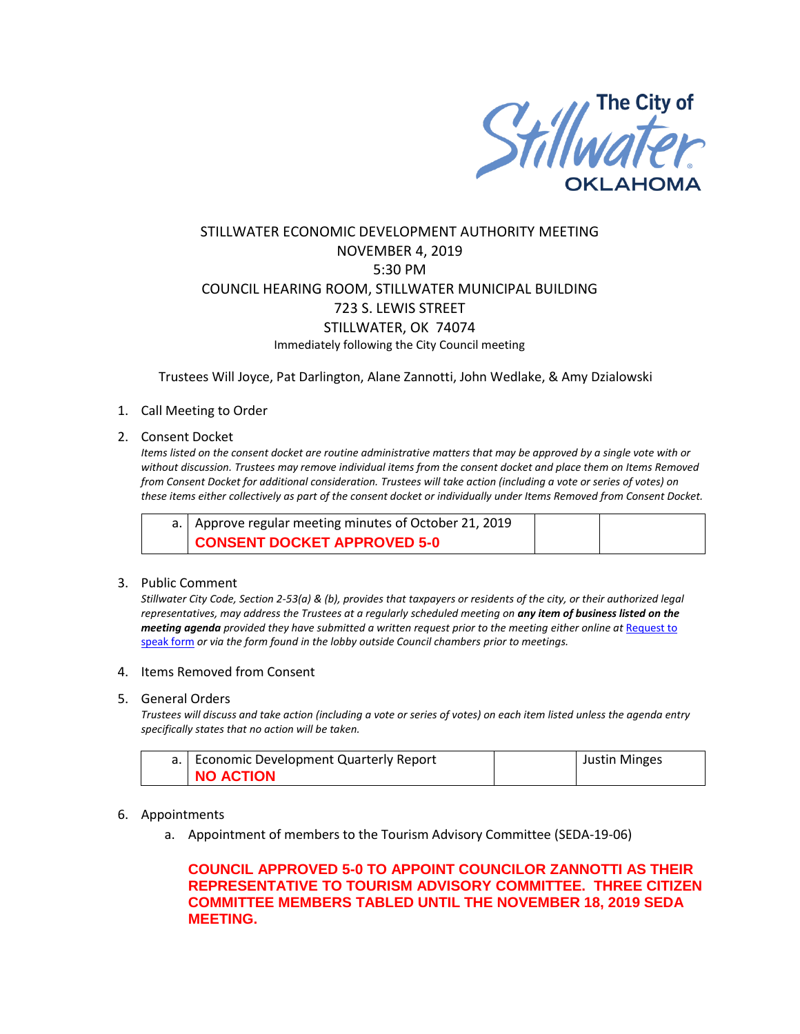

# STILLWATER ECONOMIC DEVELOPMENT AUTHORITY MEETING NOVEMBER 4, 2019 5:30 PM COUNCIL HEARING ROOM, STILLWATER MUNICIPAL BUILDING 723 S. LEWIS STREET STILLWATER, OK 74074 Immediately following the City Council meeting

Trustees Will Joyce, Pat Darlington, Alane Zannotti, John Wedlake, & Amy Dzialowski

### 1. Call Meeting to Order

#### 2. Consent Docket

*Items listed on the consent docket are routine administrative matters that may be approved by a single vote with or without discussion. Trustees may remove individual items from the consent docket and place them on Items Removed from Consent Docket for additional consideration. Trustees will take action (including a vote or series of votes) on these items either collectively as part of the consent docket or individually under Items Removed from Consent Docket.*

| a.   Approve regular meeting minutes of October 21, 2019 |  |
|----------------------------------------------------------|--|
| CONSENT DOCKET APPROVED 5-0                              |  |

#### 3. Public Comment

*Stillwater City Code, Section 2-53(a) & (b), provides that taxpayers or residents of the city, or their authorized legal representatives, may address the Trustees at a regularly scheduled meeting on any item of business listed on the meeting agenda provided they have submitted a written request prior to the meeting either online at* [Request to](http://stillwater.org/page/home/government/mayor-city-council/meetings-agendas-minutes/online-request-to-speak-at-city-council)  [speak form](http://stillwater.org/page/home/government/mayor-city-council/meetings-agendas-minutes/online-request-to-speak-at-city-council) *or via the form found in the lobby outside Council chambers prior to meetings.*

#### 4. Items Removed from Consent

5. General Orders

*Trustees will discuss and take action (including a vote or series of votes) on each item listed unless the agenda entry specifically states that no action will be taken.*

| a.   Economic Development Quarterly Report | <b>Justin Minges</b> |
|--------------------------------------------|----------------------|
| <b>NO ACTION</b>                           |                      |

#### 6. Appointments

a. Appointment of members to the Tourism Advisory Committee (SEDA-19-06)

# **COUNCIL APPROVED 5-0 TO APPOINT COUNCILOR ZANNOTTI AS THEIR REPRESENTATIVE TO TOURISM ADVISORY COMMITTEE. THREE CITIZEN COMMITTEE MEMBERS TABLED UNTIL THE NOVEMBER 18, 2019 SEDA MEETING.**